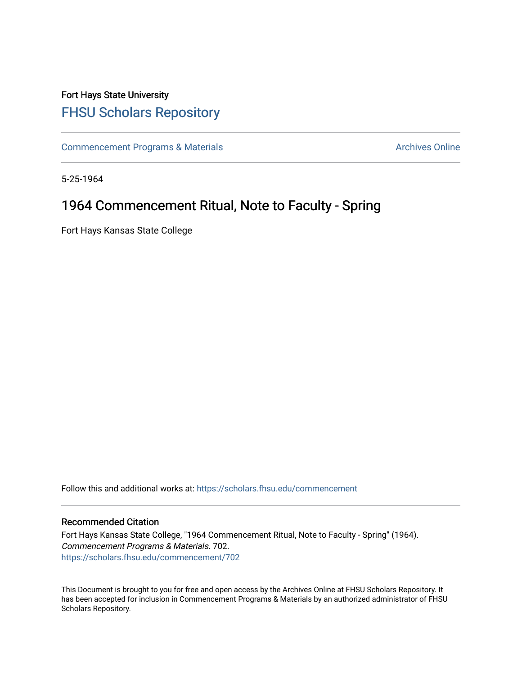## Fort Hays State University [FHSU Scholars Repository](https://scholars.fhsu.edu/)

[Commencement Programs & Materials](https://scholars.fhsu.edu/commencement) **Archives Online** Archives Online

5-25-1964

## 1964 Commencement Ritual, Note to Faculty - Spring

Fort Hays Kansas State College

Follow this and additional works at: [https://scholars.fhsu.edu/commencement](https://scholars.fhsu.edu/commencement?utm_source=scholars.fhsu.edu%2Fcommencement%2F702&utm_medium=PDF&utm_campaign=PDFCoverPages)

## Recommended Citation

Fort Hays Kansas State College, "1964 Commencement Ritual, Note to Faculty - Spring" (1964). Commencement Programs & Materials. 702. [https://scholars.fhsu.edu/commencement/702](https://scholars.fhsu.edu/commencement/702?utm_source=scholars.fhsu.edu%2Fcommencement%2F702&utm_medium=PDF&utm_campaign=PDFCoverPages)

This Document is brought to you for free and open access by the Archives Online at FHSU Scholars Repository. It has been accepted for inclusion in Commencement Programs & Materials by an authorized administrator of FHSU Scholars Repository.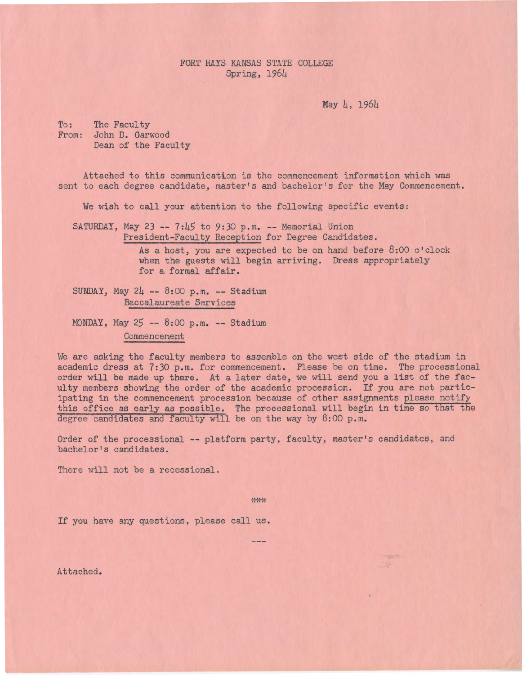FORT HAYS KANSAS STATE COLLEGE Spring, 1964

May 4, 1964

To: The Faculty From: John D. Garwood Dean of the Faculty

Attached to this communication is the commencement information which was sent to each degree candidate, master's and bachelor's for the May Commencement.

We wish to call your attention to the following specific events:

SATURDAY, May 23 --  $7:45$  to 9:30 p.m. -- Memorial Union President-Faculty Reception for Degree Candidates.

> As a host, you are expected to be on hand before 8:00 o'clock when the guests will begin arriving. Dress appropriately for a formal affair.

SUNDAY, May  $24 - 8:00$  p.m.  $-$  Stadium Baccalaureate Services

MONDAY, May 25 -- 8:00 p.m. -- Stadium Commencement

We are asking the faculty members to assemble on the west side of the stadium in academic dress at 7:30 p.m. for commencement. Please be on time. The processional order will be made up there. At a later date, we will send you a list of the faculty members showing the order of the academic procession. If you are not participating in the commencement procession because of other assignments please notify this office *as* early as possible. The processional will begin in time so that the degree candidates and faculty will be on the way by 8:00 p.m.

Order of the processional -- platform party, faculty, master's candidates, and bachelor's candidates.

There will not be a recessional.

\*\*\*

If you have any questions, please call us.

Attached.